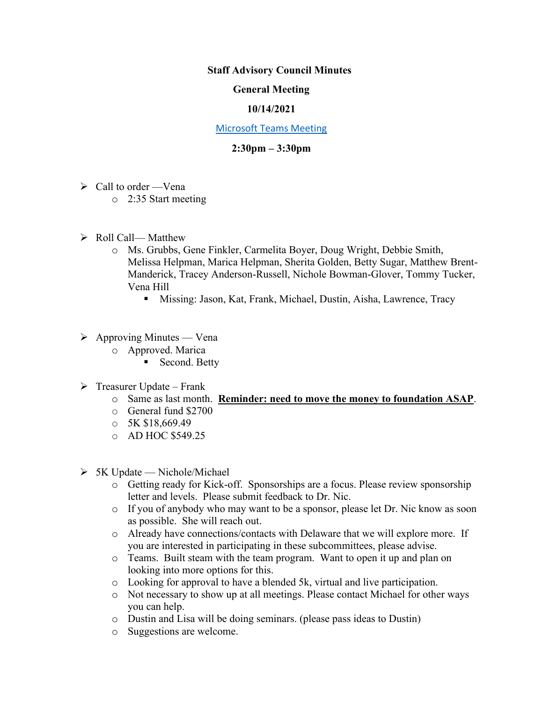### **Staff Advisory Council Minutes**

## **General Meeting**

### **10/14/2021**

#### [Microsoft Teams Meeting](https://nam05.safelinks.protection.outlook.com/ap/t-59584e83/?url=https%3A%2F%2Fteams.microsoft.com%2Fl%2Fmeetup-join%2F19%253ameeting_MzkxMmQzZTYtNGNiMi00YTJjLWI3MTMtOTlhMmNmOTE4Zjhj%2540thread.v2%2F0%3Fcontext%3D%257b%2522Tid%2522%253a%252260a9d377-c827-41a1-bbf0-1aad34db4c89%2522%252c%2522Oid%2522%253a%2522d493b17b-9cb3-43b8-b2df-d22f32aad747%2522%257d&data=02%7C01%7Cakienee1%40cscc.edu%7Cd9d721b99f4d408c215208d7647bc8db%7C60a9d377c82741a1bbf01aad34db4c89%7C0%7C0%7C637088355127916457&sdata=hlB7BeFFj4%2Fu5SHTbph%2BpYbfXevGFZ5zd4DxSsQlyzY%3D&reserved=0)

# **2:30pm – 3:30pm**

- $\triangleright$  Call to order —Vena
	- o 2:35 Start meeting
- ➢ Roll Call— Matthew
	- o Ms. Grubbs, Gene Finkler, Carmelita Boyer, Doug Wright, Debbie Smith, Melissa Helpman, Marica Helpman, Sherita Golden, Betty Sugar, Matthew Brent-Manderick, Tracey Anderson-Russell, Nichole Bowman-Glover, Tommy Tucker, Vena Hill
		- **EXECUTE:** Missing: Jason, Kat, Frank, Michael, Dustin, Aisha, Lawrence, Tracy
- $\triangleright$  Approving Minutes Vena
	- o Approved. Marica
		- Second. Betty
- $\triangleright$  Treasurer Update Frank
	- o Same as last month. **Reminder: need to move the money to foundation ASAP**.
	- o General fund \$2700
	- $\circ$  5K \$18,669.49
	- o AD HOC \$549.25
- $\triangleright$  5K Update Nichole/Michael
	- o Getting ready for Kick-off. Sponsorships are a focus. Please review sponsorship letter and levels. Please submit feedback to Dr. Nic.
	- o If you of anybody who may want to be a sponsor, please let Dr. Nic know as soon as possible. She will reach out.
	- o Already have connections/contacts with Delaware that we will explore more. If you are interested in participating in these subcommittees, please advise.
	- o Teams. Built steam with the team program. Want to open it up and plan on looking into more options for this.
	- o Looking for approval to have a blended 5k, virtual and live participation.
	- o Not necessary to show up at all meetings. Please contact Michael for other ways you can help.
	- o Dustin and Lisa will be doing seminars. (please pass ideas to Dustin)
	- o Suggestions are welcome.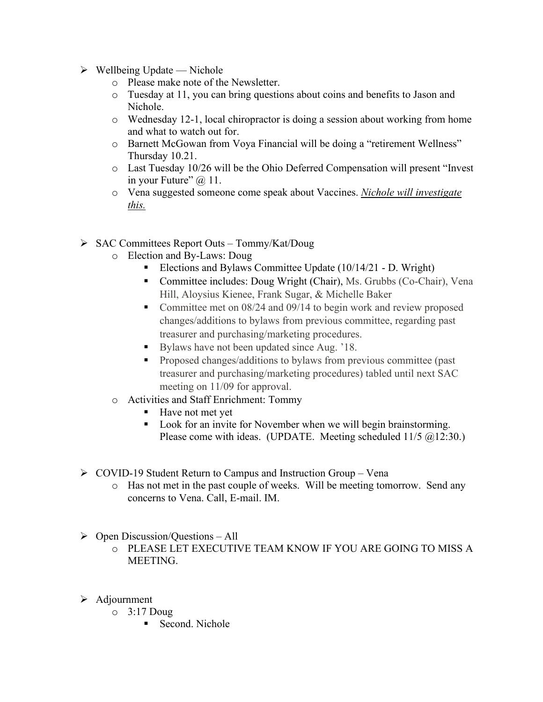- $\triangleright$  Wellbeing Update Nichole
	- o Please make note of the Newsletter.
	- o Tuesday at 11, you can bring questions about coins and benefits to Jason and Nichole.
	- o Wednesday 12-1, local chiropractor is doing a session about working from home and what to watch out for.
	- o Barnett McGowan from Voya Financial will be doing a "retirement Wellness" Thursday 10.21.
	- o Last Tuesday 10/26 will be the Ohio Deferred Compensation will present "Invest in your Future"  $\omega$  11.
	- o Vena suggested someone come speak about Vaccines. *Nichole will investigate this.*
- ➢ SAC Committees Report Outs Tommy/Kat/Doug
	- o Election and By-Laws: Doug
		- Elections and Bylaws Committee Update (10/14/21 D. Wright)
		- Committee includes: Doug Wright (Chair), Ms. Grubbs (Co-Chair), Vena Hill, Aloysius Kienee, Frank Sugar, & Michelle Baker
		- Committee met on 08/24 and 09/14 to begin work and review proposed changes/additions to bylaws from previous committee, regarding past treasurer and purchasing/marketing procedures.
		- Bylaws have not been updated since Aug. '18.
		- **•** Proposed changes/additions to bylaws from previous committee (past) treasurer and purchasing/marketing procedures) tabled until next SAC meeting on 11/09 for approval.
	- o Activities and Staff Enrichment: Tommy
		- Have not met yet
		- Look for an invite for November when we will begin brainstorming. Please come with ideas. (UPDATE. Meeting scheduled 11/5 @12:30.)
- ➢ COVID-19 Student Return to Campus and Instruction Group Vena
	- o Has not met in the past couple of weeks. Will be meeting tomorrow. Send any concerns to Vena. Call, E-mail. IM.
- $\triangleright$  Open Discussion/Questions All
	- o PLEASE LET EXECUTIVE TEAM KNOW IF YOU ARE GOING TO MISS A MEETING.
- ➢ Adjournment
	- $\circ$  3:17 Doug
		- Second. Nichole